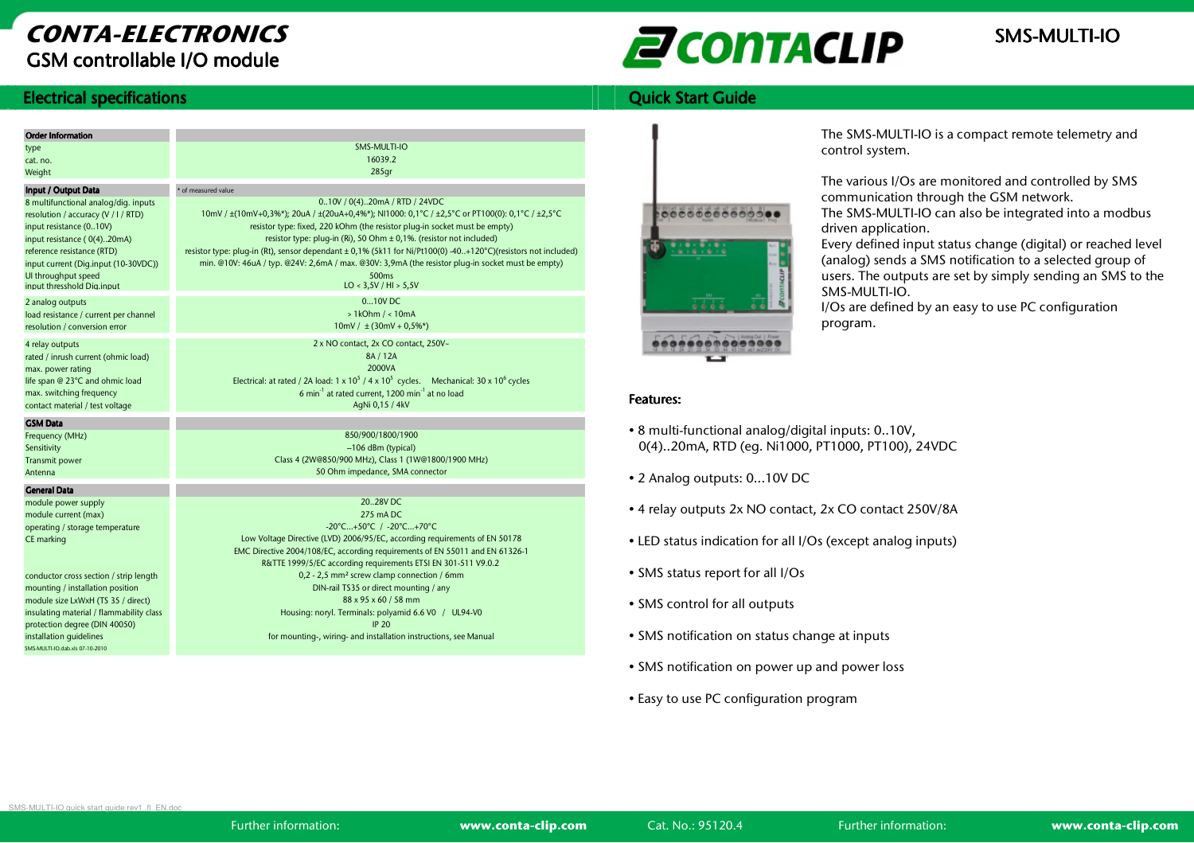## CONTA-ELECTRONICSGSM controllable I/O module

# **EN CONTACLIP** SMS-MULTI-IO

### **Ouick Start Guide**

### **Electrical specifications**

| <b>Order Information</b>                                                                                                                                                                                                                                         |                                                                                                                                                                                                                                                                                                                                                                                                                                                                                                                                              |  |  |  |  |  |
|------------------------------------------------------------------------------------------------------------------------------------------------------------------------------------------------------------------------------------------------------------------|----------------------------------------------------------------------------------------------------------------------------------------------------------------------------------------------------------------------------------------------------------------------------------------------------------------------------------------------------------------------------------------------------------------------------------------------------------------------------------------------------------------------------------------------|--|--|--|--|--|
| type                                                                                                                                                                                                                                                             | SMS-MULTI-IO                                                                                                                                                                                                                                                                                                                                                                                                                                                                                                                                 |  |  |  |  |  |
| cat. no.                                                                                                                                                                                                                                                         | 16039.2                                                                                                                                                                                                                                                                                                                                                                                                                                                                                                                                      |  |  |  |  |  |
| Weight                                                                                                                                                                                                                                                           | 285 <sub>qr</sub>                                                                                                                                                                                                                                                                                                                                                                                                                                                                                                                            |  |  |  |  |  |
| Input / Output Data                                                                                                                                                                                                                                              | * of measured value                                                                                                                                                                                                                                                                                                                                                                                                                                                                                                                          |  |  |  |  |  |
| 8 multifunctional analog/dig. inputs<br>resolution / accuracy (V / I / RTD)<br>input resistance (010V)<br>input resistance (0(4)20mA)<br>reference resistance (RTD)<br>input current (Dig.input (10-30VDC))<br>UI throughput speed<br>input thresshold Dia.input | 010V / 0(4)20mA / RTD / 24VDC<br>10mV / ±(10mV+0,3%*); 20uA / ±(20uA+0,4%*); NI1000: 0,1°C / ±2,5°C or PT100(0): 0,1°C / ±2,5°C<br>resistor type: fixed, 220 kOhm (the resistor plug-in socket must be empty)<br>resistor type: pluq-in (Ri), 50 Ohm ± 0,1%. (resistor not included)<br>resistor type: pluq-in (Rt), sensor dependant ± 0,1% (5k11 for Ni/Pt100(0) -40+120°C)(resistors not included)<br>min. @10V: 46uA / typ. @24V: 2,6mA / max. @30V: 3,9mA (the resistor pluq-in socket must be empty)<br>500ms<br>LO < 3,5V / HI > 5,5V |  |  |  |  |  |
| 2 analog outputs<br>load resistance / current per channel<br>resolution / conversion error                                                                                                                                                                       | 0.10V <sub>D</sub> C<br>$>1$ kOhm / < $10$ mA<br>$10mV / \pm (30mV + 0.5%^*)$                                                                                                                                                                                                                                                                                                                                                                                                                                                                |  |  |  |  |  |
| 4 relay outputs<br>rated / inrush current (ohmic load)<br>max. power rating<br>life span @ 23°C and ohmic load<br>max. switching frequency<br>contact material / test voltage                                                                                    | 2 x NO contact, 2x CO contact, 250V~<br>8A / 12A<br>2000VA<br>Electrical: at rated / 2A load: $1 \times 10^5$ / $4 \times 10^5$ cycles. Mechanical: $30 \times 10^6$ cycles<br>6 min <sup>-1</sup> at rated current, 1200 min <sup>-1</sup> at no load<br>AqNi 0,15 / 4kV                                                                                                                                                                                                                                                                    |  |  |  |  |  |
| <b>GSM Data</b>                                                                                                                                                                                                                                                  |                                                                                                                                                                                                                                                                                                                                                                                                                                                                                                                                              |  |  |  |  |  |
| Frequency (MHz)                                                                                                                                                                                                                                                  | 850/900/1800/1900                                                                                                                                                                                                                                                                                                                                                                                                                                                                                                                            |  |  |  |  |  |
| Sensitivity                                                                                                                                                                                                                                                      | -106 dBm (typical)                                                                                                                                                                                                                                                                                                                                                                                                                                                                                                                           |  |  |  |  |  |
| <b>Transmit power</b>                                                                                                                                                                                                                                            | Class 4 (2W@850/900 MHz), Class 1 (1W@1800/1900 MHz)                                                                                                                                                                                                                                                                                                                                                                                                                                                                                         |  |  |  |  |  |
| Antenna                                                                                                                                                                                                                                                          | 50 Ohm impedance, SMA connector                                                                                                                                                                                                                                                                                                                                                                                                                                                                                                              |  |  |  |  |  |
| <b>General Data</b>                                                                                                                                                                                                                                              |                                                                                                                                                                                                                                                                                                                                                                                                                                                                                                                                              |  |  |  |  |  |
| module power supply                                                                                                                                                                                                                                              | 20.,28V DC                                                                                                                                                                                                                                                                                                                                                                                                                                                                                                                                   |  |  |  |  |  |
| module current (max)                                                                                                                                                                                                                                             | 275 mADC                                                                                                                                                                                                                                                                                                                                                                                                                                                                                                                                     |  |  |  |  |  |
| operating / storage temperature                                                                                                                                                                                                                                  | -20°C+50°C / -20°C+70°C                                                                                                                                                                                                                                                                                                                                                                                                                                                                                                                      |  |  |  |  |  |
| CE marking                                                                                                                                                                                                                                                       | Low Voltage Directive (LVD) 2006/95/EC, according requirements of EN 50178                                                                                                                                                                                                                                                                                                                                                                                                                                                                   |  |  |  |  |  |
|                                                                                                                                                                                                                                                                  | EMC Directive 2004/108/EC, according requirements of EN 55011 and EN 61326-1<br>R&TTE 1999/5/EC according requirements ETSI EN 301-511 V9.0.2                                                                                                                                                                                                                                                                                                                                                                                                |  |  |  |  |  |
| conductor cross section / strip length                                                                                                                                                                                                                           | 0,2 - 2,5 mm <sup>2</sup> screw clamp connection / 6mm                                                                                                                                                                                                                                                                                                                                                                                                                                                                                       |  |  |  |  |  |
| mounting / installation position                                                                                                                                                                                                                                 | DIN-rail TS35 or direct mounting / any                                                                                                                                                                                                                                                                                                                                                                                                                                                                                                       |  |  |  |  |  |
| module size LxWxH (TS 35 / direct)                                                                                                                                                                                                                               | 88 x 95 x 60 / 58 mm                                                                                                                                                                                                                                                                                                                                                                                                                                                                                                                         |  |  |  |  |  |
| insulating material / flammability class                                                                                                                                                                                                                         | Housing: noryl. Terminals: polyamid 6.6 V0 / UL94-V0                                                                                                                                                                                                                                                                                                                                                                                                                                                                                         |  |  |  |  |  |
| protection degree (DIN 40050)                                                                                                                                                                                                                                    | <b>IP 20</b>                                                                                                                                                                                                                                                                                                                                                                                                                                                                                                                                 |  |  |  |  |  |
| installation quidelines                                                                                                                                                                                                                                          | for mounting-, wiring- and installation instructions, see Manual                                                                                                                                                                                                                                                                                                                                                                                                                                                                             |  |  |  |  |  |



The SMS-MULTI-IO is a compact remote telemetry and control system.

The various I/Os are monitored and controlled by SMS communication through the GSM network.

 The SMS-MULTI-IO can also be integrated into a modbus driven application.

 Every defined input status change (digital) or reached level (analog) sends a SMS notification to a selected group of users. The outputs are set by simply sending an SMS to the SMS-MULTI-IO.

 I/Os are defined by an easy to use PC configurationprogram.

### Features: Features:

- 8 multi-functional analog/digital inputs: 0..10V,0(4)..20mA, RTD (eg. Ni1000, PT1000, PT100), 24VDC
- 2 Analog outputs: 0...10V DC
- 4 relay outputs 2x NO contact, 2x CO contact 250V/8A
- LED status indication for all I/Os (except analog inputs)
- SMS status report for all I/Os
- SMS control for all outputs
- SMS notification on status change at inputs
- SMS notification on power up and power loss
- Easy to use PC configuration program

SMS-MULTI-IO quick start guide rev1 .fl\_EN.doc

SMS-MULTI-IO.dab.xls 07-10-2010